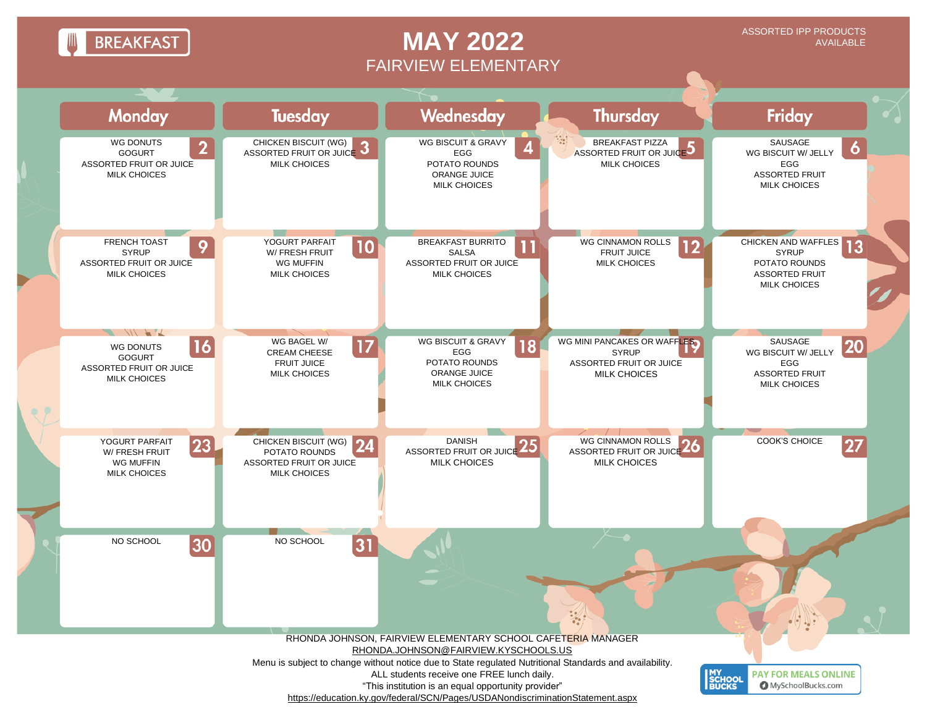**BREAKFAST** 

## **MAY 2022** FAIRVIEW ELEMENTARY